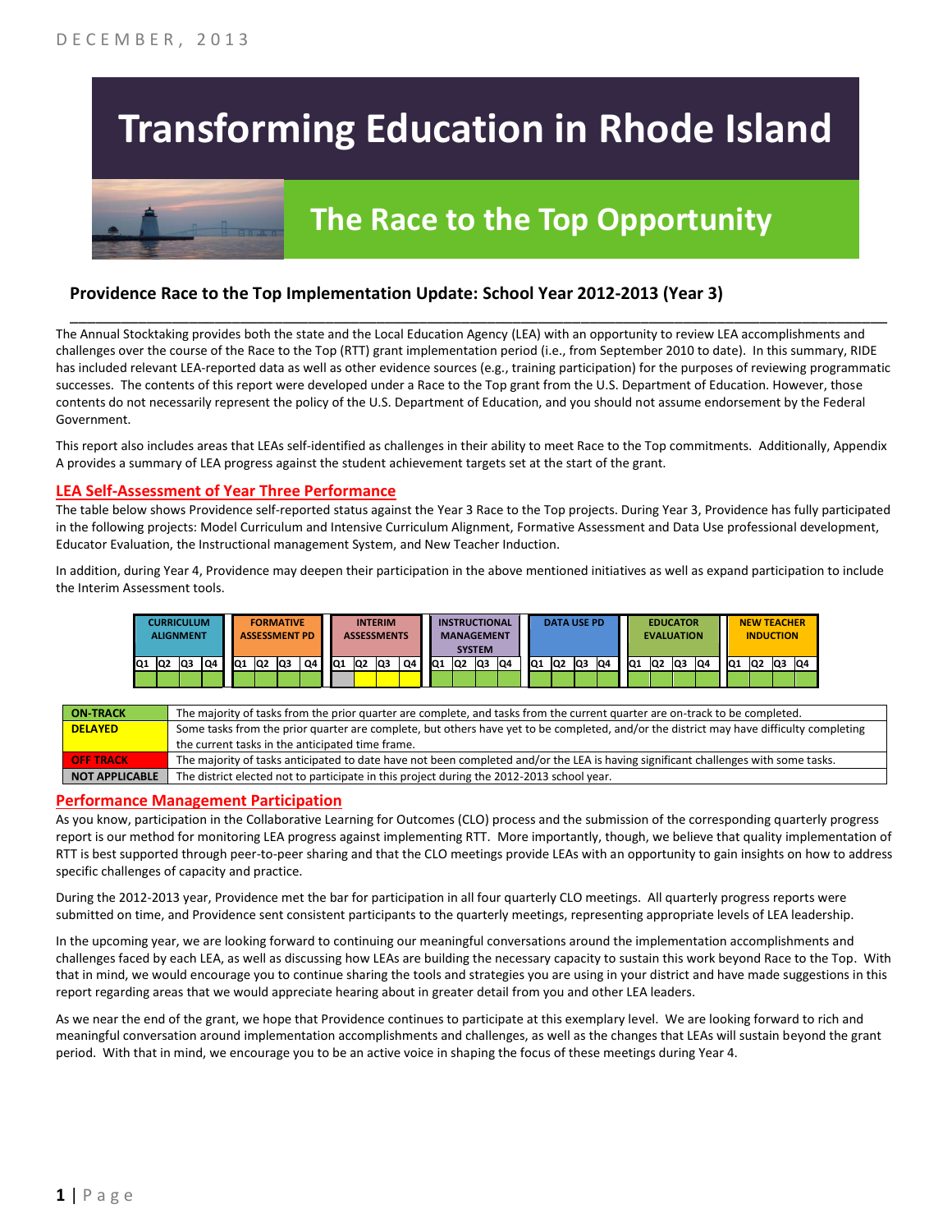# **Transforming Education in Rhode Island**



## **The Race to the Top Opportunity**

#### **Providence Race to the Top Implementation Update: School Year 2012-2013 (Year 3)**

The Annual Stocktaking provides both the state and the Local Education Agency (LEA) with an opportunity to review LEA accomplishments and challenges over the course of the Race to the Top (RTT) grant implementation period (i.e., from September 2010 to date). In this summary, RIDE has included relevant LEA-reported data as well as other evidence sources (e.g., training participation) for the purposes of reviewing programmatic successes. The contents of this report were developed under a Race to the Top grant from the U.S. Department of Education. However, those contents do not necessarily represent the policy of the U.S. Department of Education, and you should not assume endorsement by the Federal Government.

\_\_\_\_\_\_\_\_\_\_\_\_\_\_\_\_\_\_\_\_\_\_\_\_\_\_\_\_\_\_\_\_\_\_\_\_\_\_\_\_\_\_\_\_\_\_\_\_\_\_\_\_\_\_\_\_\_\_\_\_\_\_\_\_\_\_\_\_\_\_\_\_\_\_\_\_\_\_\_\_\_\_\_\_\_\_\_\_\_\_\_\_\_\_\_\_

This report also includes areas that LEAs self-identified as challenges in their ability to meet Race to the Top commitments. Additionally, Appendix A provides a summary of LEA progress against the student achievement targets set at the start of the grant.

#### **LEA Self-Assessment of Year Three Performance**

The table below shows Providence self-reported status against the Year 3 Race to the Top projects. During Year 3, Providence has fully participated in the following projects: Model Curriculum and Intensive Curriculum Alignment, Formative Assessment and Data Use professional development, Educator Evaluation, the Instructional management System, and New Teacher Induction.

In addition, during Year 4, Providence may deepen their participation in the above mentioned initiatives as well as expand participation to include the Interim Assessment tools.



| <b>ON-TRACK</b>  | The majority of tasks from the prior quarter are complete, and tasks from the current quarter are on-track to be completed.             |
|------------------|-----------------------------------------------------------------------------------------------------------------------------------------|
| <b>DELAYED</b>   | Some tasks from the prior quarter are complete, but others have yet to be completed, and/or the district may have difficulty completing |
|                  | the current tasks in the anticipated time frame.                                                                                        |
| <b>OFF TRACK</b> | The majority of tasks anticipated to date have not been completed and/or the LEA is having significant challenges with some tasks.      |
| NOT APPLICABLE   | The district elected not to participate in this project during the 2012-2013 school year.                                               |

#### **Performance Management Participation**

As you know, participation in the Collaborative Learning for Outcomes (CLO) process and the submission of the corresponding quarterly progress report is our method for monitoring LEA progress against implementing RTT. More importantly, though, we believe that quality implementation of RTT is best supported through peer-to-peer sharing and that the CLO meetings provide LEAs with an opportunity to gain insights on how to address specific challenges of capacity and practice.

During the 2012-2013 year, Providence met the bar for participation in all four quarterly CLO meetings. All quarterly progress reports were submitted on time, and Providence sent consistent participants to the quarterly meetings, representing appropriate levels of LEA leadership.

In the upcoming year, we are looking forward to continuing our meaningful conversations around the implementation accomplishments and challenges faced by each LEA, as well as discussing how LEAs are building the necessary capacity to sustain this work beyond Race to the Top. With that in mind, we would encourage you to continue sharing the tools and strategies you are using in your district and have made suggestions in this report regarding areas that we would appreciate hearing about in greater detail from you and other LEA leaders.

As we near the end of the grant, we hope that Providence continues to participate at this exemplary level. We are looking forward to rich and meaningful conversation around implementation accomplishments and challenges, as well as the changes that LEAs will sustain beyond the grant period. With that in mind, we encourage you to be an active voice in shaping the focus of these meetings during Year 4.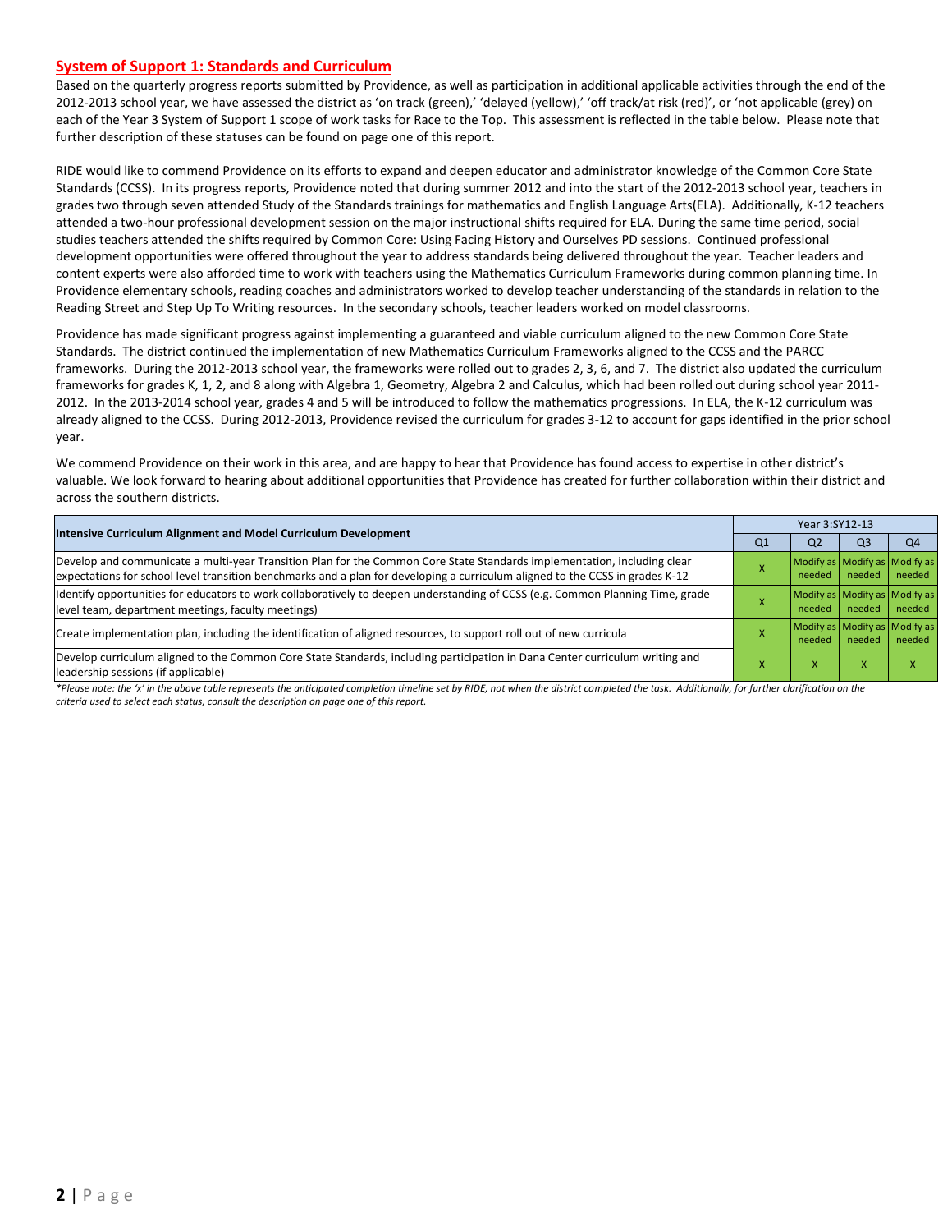#### **System of Support 1: Standards and Curriculum**

Based on the quarterly progress reports submitted by Providence, as well as participation in additional applicable activities through the end of the 2012-2013 school year, we have assessed the district as 'on track (green),' 'delayed (yellow),' 'off track/at risk (red)', or 'not applicable (grey) on each of the Year 3 System of Support 1 scope of work tasks for Race to the Top. This assessment is reflected in the table below. Please note that further description of these statuses can be found on page one of this report.

RIDE would like to commend Providence on its efforts to expand and deepen educator and administrator knowledge of the Common Core State Standards (CCSS). In its progress reports, Providence noted that during summer 2012 and into the start of the 2012-2013 school year, teachers in grades two through seven attended Study of the Standards trainings for mathematics and English Language Arts(ELA). Additionally, K-12 teachers attended a two-hour professional development session on the major instructional shifts required for ELA. During the same time period, social studies teachers attended the shifts required by Common Core: Using Facing History and Ourselves PD sessions. Continued professional development opportunities were offered throughout the year to address standards being delivered throughout the year. Teacher leaders and content experts were also afforded time to work with teachers using the Mathematics Curriculum Frameworks during common planning time. In Providence elementary schools, reading coaches and administrators worked to develop teacher understanding of the standards in relation to the Reading Street and Step Up To Writing resources. In the secondary schools, teacher leaders worked on model classrooms.

Providence has made significant progress against implementing a guaranteed and viable curriculum aligned to the new Common Core State Standards. The district continued the implementation of new Mathematics Curriculum Frameworks aligned to the CCSS and the PARCC frameworks. During the 2012-2013 school year, the frameworks were rolled out to grades 2, 3, 6, and 7. The district also updated the curriculum frameworks for grades K, 1, 2, and 8 along with Algebra 1, Geometry, Algebra 2 and Calculus, which had been rolled out during school year 2011- 2012. In the 2013-2014 school year, grades 4 and 5 will be introduced to follow the mathematics progressions. In ELA, the K-12 curriculum was already aligned to the CCSS. During 2012-2013, Providence revised the curriculum for grades 3-12 to account for gaps identified in the prior school year.

We commend Providence on their work in this area, and are happy to hear that Providence has found access to expertise in other district's valuable. We look forward to hearing about additional opportunities that Providence has created for further collaboration within their district and across the southern districts.

| Intensive Curriculum Alignment and Model Curriculum Development                                                                                                                                                                                           |                | Year 3:SY12-13                          |                                         |                |  |  |
|-----------------------------------------------------------------------------------------------------------------------------------------------------------------------------------------------------------------------------------------------------------|----------------|-----------------------------------------|-----------------------------------------|----------------|--|--|
|                                                                                                                                                                                                                                                           | Q <sub>1</sub> | Q <sub>2</sub>                          | Q <sub>3</sub>                          | Q <sub>4</sub> |  |  |
| Develop and communicate a multi-year Transition Plan for the Common Core State Standards implementation, including clear<br>expectations for school level transition benchmarks and a plan for developing a curriculum aligned to the CCSS in grades K-12 |                | needed                                  | Modify as Modify as Modify as<br>needed | needed         |  |  |
| Identify opportunities for educators to work collaboratively to deepen understanding of CCSS (e.g. Common Planning Time, grade<br>level team, department meetings, faculty meetings)                                                                      |                | Modify as Modify as Modify as<br>needed | needed                                  | needed         |  |  |
| Create implementation plan, including the identification of aligned resources, to support roll out of new curricula                                                                                                                                       |                | needed                                  | Modify as Modify as Modify as<br>needed | needed         |  |  |
| Develop curriculum aligned to the Common Core State Standards, including participation in Dana Center curriculum writing and<br>leadership sessions (if applicable)                                                                                       |                | X                                       | $\boldsymbol{\mathsf{x}}$               | x              |  |  |

*\*Please note: the 'x' in the above table represents the anticipated completion timeline set by RIDE, not when the district completed the task. Additionally, for further clarification on the criteria used to select each status, consult the description on page one of this report.*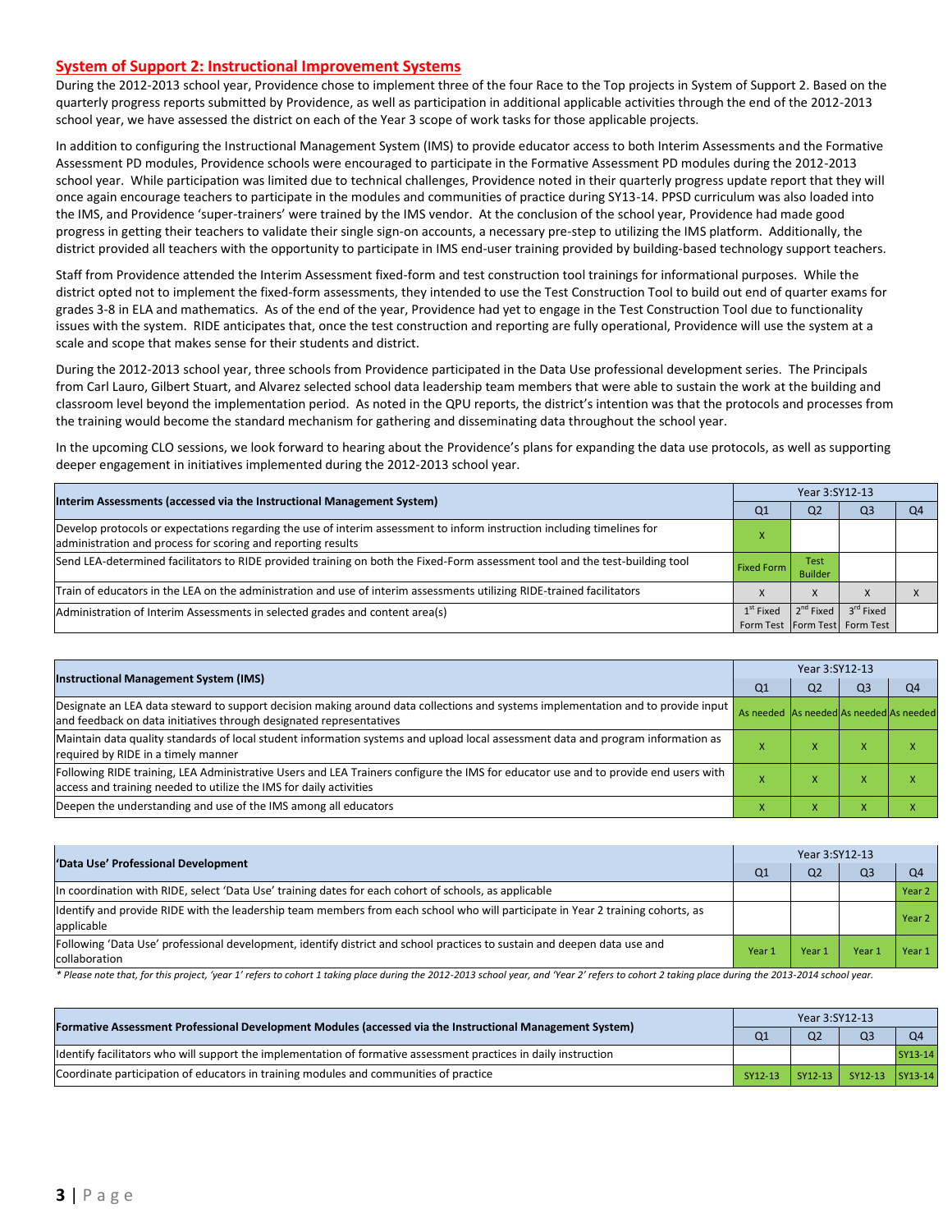#### **System of Support 2: Instructional Improvement Systems**

During the 2012-2013 school year, Providence chose to implement three of the four Race to the Top projects in System of Support 2. Based on the quarterly progress reports submitted by Providence, as well as participation in additional applicable activities through the end of the 2012-2013 school year, we have assessed the district on each of the Year 3 scope of work tasks for those applicable projects.

In addition to configuring the Instructional Management System (IMS) to provide educator access to both Interim Assessments and the Formative Assessment PD modules, Providence schools were encouraged to participate in the Formative Assessment PD modules during the 2012-2013 school year. While participation was limited due to technical challenges, Providence noted in their quarterly progress update report that they will once again encourage teachers to participate in the modules and communities of practice during SY13-14. PPSD curriculum was also loaded into the IMS, and Providence 'super-trainers' were trained by the IMS vendor. At the conclusion of the school year, Providence had made good progress in getting their teachers to validate their single sign-on accounts, a necessary pre-step to utilizing the IMS platform. Additionally, the district provided all teachers with the opportunity to participate in IMS end-user training provided by building-based technology support teachers.

Staff from Providence attended the Interim Assessment fixed-form and test construction tool trainings for informational purposes. While the district opted not to implement the fixed-form assessments, they intended to use the Test Construction Tool to build out end of quarter exams for grades 3-8 in ELA and mathematics. As of the end of the year, Providence had yet to engage in the Test Construction Tool due to functionality issues with the system. RIDE anticipates that, once the test construction and reporting are fully operational, Providence will use the system at a scale and scope that makes sense for their students and district.

During the 2012-2013 school year, three schools from Providence participated in the Data Use professional development series. The Principals from Carl Lauro, Gilbert Stuart, and Alvarez selected school data leadership team members that were able to sustain the work at the building and classroom level beyond the implementation period. As noted in the QPU reports, the district's intention was that the protocols and processes from the training would become the standard mechanism for gathering and disseminating data throughout the school year.

In the upcoming CLO sessions, we look forward to hearing about the Providence's plans for expanding the data use protocols, as well as supporting deeper engagement in initiatives implemented during the 2012-2013 school year.

| Interim Assessments (accessed via the Instructional Management System)                                                                                                                  | Year 3:SY12-13    |                        |                                   |    |  |  |
|-----------------------------------------------------------------------------------------------------------------------------------------------------------------------------------------|-------------------|------------------------|-----------------------------------|----|--|--|
|                                                                                                                                                                                         | Q <sub>1</sub>    | Q <sub>2</sub>         | Q3                                | Q4 |  |  |
| Develop protocols or expectations regarding the use of interim assessment to inform instruction including timelines for<br>administration and process for scoring and reporting results |                   |                        |                                   |    |  |  |
| Send LEA-determined facilitators to RIDE provided training on both the Fixed-Form assessment tool and the test-building tool                                                            | <b>Fixed Form</b> | Test<br><b>Builder</b> |                                   |    |  |  |
| Train of educators in the LEA on the administration and use of interim assessments utilizing RIDE-trained facilitators                                                                  |                   | X                      |                                   |    |  |  |
| Administration of Interim Assessments in selected grades and content area(s)                                                                                                            | $1st$ Fixed       | $2^{nd}$ Fixed         | $3^{\text{rd}}$ Fixed             |    |  |  |
|                                                                                                                                                                                         |                   |                        | Form Test   Form Test   Form Test |    |  |  |

| <b>Instructional Management System (IMS)</b>                                                                                                                                                                                                                                              | Year 3:SY12-13 |                |                |                |  |
|-------------------------------------------------------------------------------------------------------------------------------------------------------------------------------------------------------------------------------------------------------------------------------------------|----------------|----------------|----------------|----------------|--|
|                                                                                                                                                                                                                                                                                           | Q <sub>1</sub> | Q <sub>2</sub> | Q <sub>3</sub> | O <sub>4</sub> |  |
| Designate an LEA data steward to support decision making around data collections and systems implementation and to provide input   As needed As needed As needed As needed As needed As needed as needed as needed<br>and feedback on data initiatives through designated representatives |                |                |                |                |  |
| Maintain data quality standards of local student information systems and upload local assessment data and program information as<br>required by RIDE in a timely manner                                                                                                                   |                | $\lambda$      |                |                |  |
| Following RIDE training, LEA Administrative Users and LEA Trainers configure the IMS for educator use and to provide end users with<br>access and training needed to utilize the IMS for daily activities                                                                                 |                | $\lambda$      | $\lambda$      |                |  |
| Deepen the understanding and use of the IMS among all educators                                                                                                                                                                                                                           |                |                |                |                |  |

| 'Data Use' Professional Development                                                                                                           | Year 3:SY12-13 |                |                |                |  |
|-----------------------------------------------------------------------------------------------------------------------------------------------|----------------|----------------|----------------|----------------|--|
|                                                                                                                                               | Q1             | Q <sub>2</sub> | Q <sub>3</sub> | Q <sub>4</sub> |  |
| In coordination with RIDE, select 'Data Use' training dates for each cohort of schools, as applicable                                         |                |                |                | Year 2         |  |
| Identify and provide RIDE with the leadership team members from each school who will participate in Year 2 training cohorts, as<br>applicable |                |                |                | Year 2         |  |
| [Following 'Data Use' professional development, identify district and school practices to sustain and deepen data use and<br>collaboration    | Year 1         | Year 1         | Year.          | Year 1         |  |

\* Please note that, for this project, 'year 1' refers to cohort 1 taking place during the 2012-2013 school year, and 'Year 2' refers to cohort 2 taking place during the 2013-2014 school year.

| [Formative Assessment Professional Development Modules (accessed via the Instructional Management System)        | Year 3:SY12-13 |                |                         |           |  |
|------------------------------------------------------------------------------------------------------------------|----------------|----------------|-------------------------|-----------|--|
|                                                                                                                  | Q <sub>1</sub> | Q <sub>2</sub> | Q <sub>3</sub>          | <b>O4</b> |  |
| Identify facilitators who will support the implementation of formative assessment practices in daily instruction |                |                |                         | SY13-14   |  |
| Coordinate participation of educators in training modules and communities of practice                            | SY12-13        |                | SY12-13 SY12-13 SY13-14 |           |  |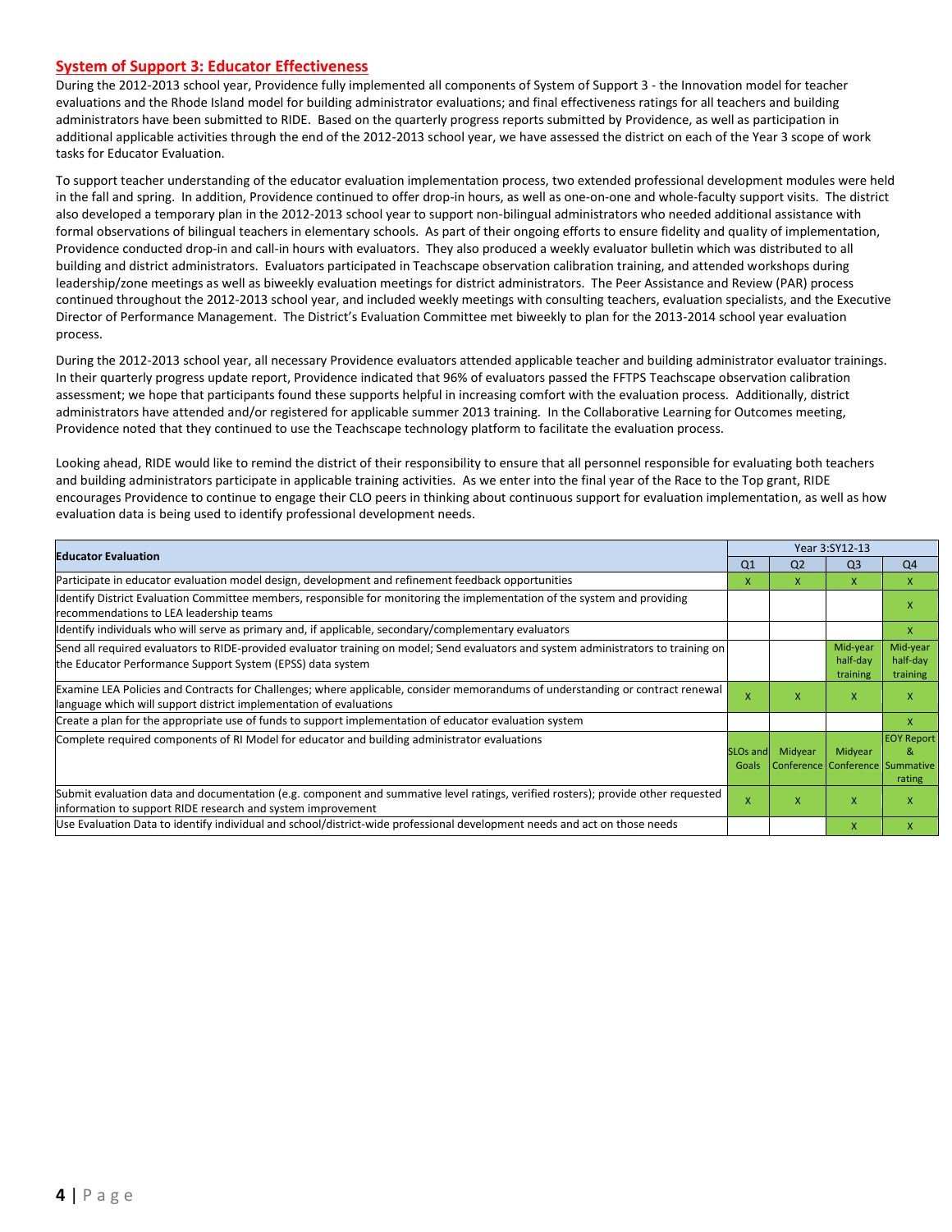#### **System of Support 3: Educator Effectiveness**

During the 2012-2013 school year, Providence fully implemented all components of System of Support 3 - the Innovation model for teacher evaluations and the Rhode Island model for building administrator evaluations; and final effectiveness ratings for all teachers and building administrators have been submitted to RIDE. Based on the quarterly progress reports submitted by Providence, as well as participation in additional applicable activities through the end of the 2012-2013 school year, we have assessed the district on each of the Year 3 scope of work tasks for Educator Evaluation.

To support teacher understanding of the educator evaluation implementation process, two extended professional development modules were held in the fall and spring. In addition, Providence continued to offer drop-in hours, as well as one-on-one and whole-faculty support visits. The district also developed a temporary plan in the 2012-2013 school year to support non-bilingual administrators who needed additional assistance with formal observations of bilingual teachers in elementary schools. As part of their ongoing efforts to ensure fidelity and quality of implementation, Providence conducted drop-in and call-in hours with evaluators. They also produced a weekly evaluator bulletin which was distributed to all building and district administrators. Evaluators participated in Teachscape observation calibration training, and attended workshops during leadership/zone meetings as well as biweekly evaluation meetings for district administrators. The Peer Assistance and Review (PAR) process continued throughout the 2012-2013 school year, and included weekly meetings with consulting teachers, evaluation specialists, and the Executive Director of Performance Management. The District's Evaluation Committee met biweekly to plan for the 2013-2014 school year evaluation process.

During the 2012-2013 school year, all necessary Providence evaluators attended applicable teacher and building administrator evaluator trainings. In their quarterly progress update report, Providence indicated that 96% of evaluators passed the FFTPS Teachscape observation calibration assessment; we hope that participants found these supports helpful in increasing comfort with the evaluation process. Additionally, district administrators have attended and/or registered for applicable summer 2013 training. In the Collaborative Learning for Outcomes meeting, Providence noted that they continued to use the Teachscape technology platform to facilitate the evaluation process.

Looking ahead, RIDE would like to remind the district of their responsibility to ensure that all personnel responsible for evaluating both teachers and building administrators participate in applicable training activities. As we enter into the final year of the Race to the Top grant, RIDE encourages Providence to continue to engage their CLO peers in thinking about continuous support for evaluation implementation, as well as how evaluation data is being used to identify professional development needs.

| <b>Educator Evaluation</b>                                                                                                                                                                           |                   | Year 3:SY12-13                             |                                  |                                  |
|------------------------------------------------------------------------------------------------------------------------------------------------------------------------------------------------------|-------------------|--------------------------------------------|----------------------------------|----------------------------------|
|                                                                                                                                                                                                      | Q <sub>1</sub>    | Q <sub>2</sub>                             | Q <sub>3</sub>                   | Q <sub>4</sub>                   |
| Participate in educator evaluation model design, development and refinement feedback opportunities                                                                                                   | x                 | x                                          | X                                | $\mathsf{x}$                     |
| Identify District Evaluation Committee members, responsible for monitoring the implementation of the system and providing<br>recommendations to LEA leadership teams                                 |                   |                                            |                                  | x                                |
| ldentify individuals who will serve as primary and, if applicable, secondary/complementary evaluators                                                                                                |                   |                                            |                                  | X                                |
| Send all required evaluators to RIDE-provided evaluator training on model; Send evaluators and system administrators to training on<br>the Educator Performance Support System (EPSS) data system    |                   |                                            | Mid-year<br>half-day<br>training | Mid-year<br>half-day<br>training |
| Examine LEA Policies and Contracts for Challenges; where applicable, consider memorandums of understanding or contract renewal<br>language which will support district implementation of evaluations | $\mathsf{x}$      | x                                          | X                                | x                                |
| Create a plan for the appropriate use of funds to support implementation of educator evaluation system                                                                                               |                   |                                            |                                  | X                                |
| Complete required components of RI Model for educator and building administrator evaluations                                                                                                         | SLOs and<br>Goals | Midyear<br>Conference Conference Summative | Midyear                          | <b>EOY Report</b><br>&<br>rating |
| Submit evaluation data and documentation (e.g. component and summative level ratings, verified rosters); provide other requested<br>information to support RIDE research and system improvement      | $\mathsf{x}$      | X                                          | X                                | x                                |
| Use Evaluation Data to identify individual and school/district-wide professional development needs and act on those needs                                                                            |                   |                                            | $\mathsf{x}$                     |                                  |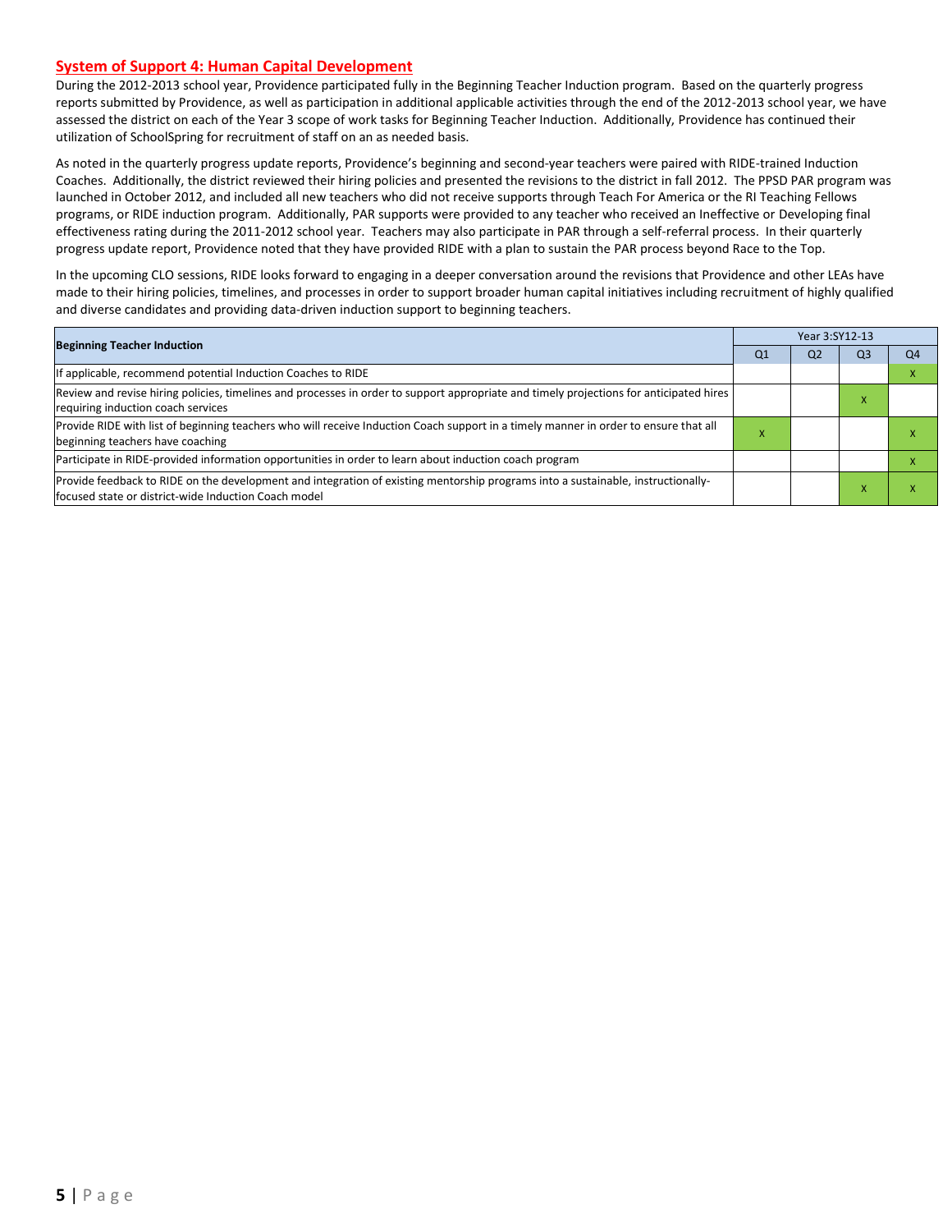#### **System of Support 4: Human Capital Development**

During the 2012-2013 school year, Providence participated fully in the Beginning Teacher Induction program. Based on the quarterly progress reports submitted by Providence, as well as participation in additional applicable activities through the end of the 2012-2013 school year, we have assessed the district on each of the Year 3 scope of work tasks for Beginning Teacher Induction. Additionally, Providence has continued their utilization of SchoolSpring for recruitment of staff on an as needed basis.

As noted in the quarterly progress update reports, Providence's beginning and second-year teachers were paired with RIDE-trained Induction Coaches. Additionally, the district reviewed their hiring policies and presented the revisions to the district in fall 2012. The PPSD PAR program was launched in October 2012, and included all new teachers who did not receive supports through Teach For America or the RI Teaching Fellows programs, or RIDE induction program. Additionally, PAR supports were provided to any teacher who received an Ineffective or Developing final effectiveness rating during the 2011-2012 school year. Teachers may also participate in PAR through a self-referral process. In their quarterly progress update report, Providence noted that they have provided RIDE with a plan to sustain the PAR process beyond Race to the Top.

In the upcoming CLO sessions, RIDE looks forward to engaging in a deeper conversation around the revisions that Providence and other LEAs have made to their hiring policies, timelines, and processes in order to support broader human capital initiatives including recruitment of highly qualified and diverse candidates and providing data-driven induction support to beginning teachers.

| <b>Beginning Teacher Induction</b>                                                                                                                                                        |    |                |                |                |
|-------------------------------------------------------------------------------------------------------------------------------------------------------------------------------------------|----|----------------|----------------|----------------|
|                                                                                                                                                                                           | Q1 | Q <sub>2</sub> | Q <sub>3</sub> | Q <sub>4</sub> |
| If applicable, recommend potential Induction Coaches to RIDE                                                                                                                              |    |                |                |                |
| Review and revise hiring policies, timelines and processes in order to support appropriate and timely projections for anticipated hires<br>requiring induction coach services             |    |                | - ^            |                |
| Provide RIDE with list of beginning teachers who will receive Induction Coach support in a timely manner in order to ensure that all<br>beginning teachers have coaching                  |    |                |                |                |
| Participate in RIDE-provided information opportunities in order to learn about induction coach program                                                                                    |    |                |                |                |
| Provide feedback to RIDE on the development and integration of existing mentorship programs into a sustainable, instructionally-<br>lfocused state or district-wide Induction Coach model |    |                |                |                |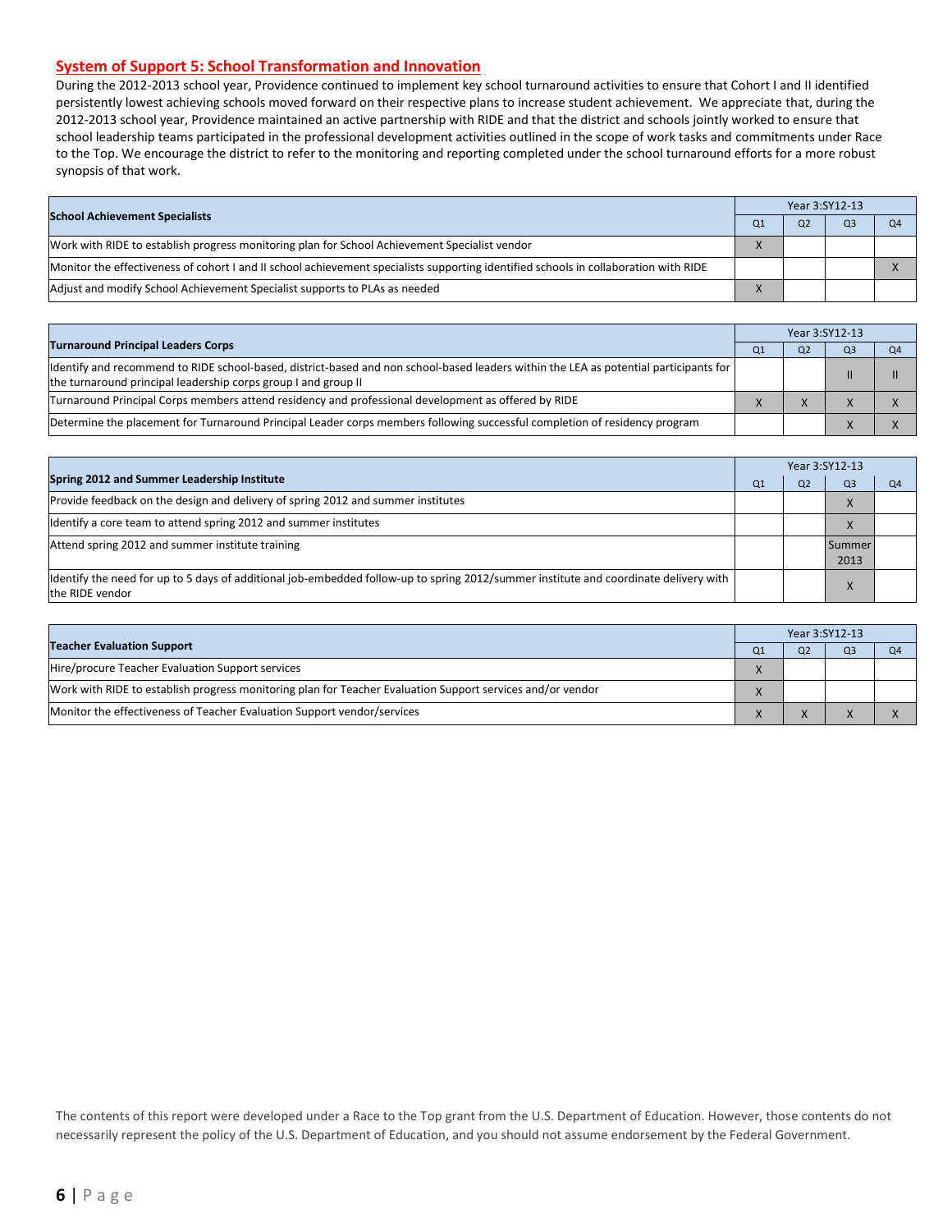#### **System of Support 5: School Transformation and Innovation**

During the 2012-2013 school year, Providence continued to implement key school turnaround activities to ensure that Cohort I and II identified persistently lowest achieving schools moved forward on their respective plans to increase student achievement. We appreciate that, during the 2012-2013 school year, Providence maintained an active partnership with RIDE and that the district and schools jointly worked to ensure that school leadership teams participated in the professional development activities outlined in the scope of work tasks and commitments under Race to the Top. We encourage the district to refer to the monitoring and reporting completed under the school turnaround efforts for a more robust synopsis of that work.

| <b>School Achievement Specialists</b>                                                                                                |  | Year 3:SY12-13 |                |    |  |
|--------------------------------------------------------------------------------------------------------------------------------------|--|----------------|----------------|----|--|
|                                                                                                                                      |  | O <sub>2</sub> | Q <sub>3</sub> | Q4 |  |
| Work with RIDE to establish progress monitoring plan for School Achievement Specialist vendor                                        |  |                |                |    |  |
| Monitor the effectiveness of cohort I and II school achievement specialists supporting identified schools in collaboration with RIDE |  |                |                |    |  |
| Adjust and modify School Achievement Specialist supports to PLAs as needed                                                           |  |                |                |    |  |

|                                                                                                                                                                                                         |  | Year 3:SY12-13 |                |                |
|---------------------------------------------------------------------------------------------------------------------------------------------------------------------------------------------------------|--|----------------|----------------|----------------|
| <b>Turnaround Principal Leaders Corps</b>                                                                                                                                                               |  |                | Q <sub>3</sub> | Q <sub>4</sub> |
| ldentify and recommend to RIDE school-based, district-based and non school-based leaders within the LEA as potential participants for<br>the turnaround principal leadership corps group I and group II |  |                |                |                |
| Turnaround Principal Corps members attend residency and professional development as offered by RIDE                                                                                                     |  |                |                |                |
| Determine the placement for Turnaround Principal Leader corps members following successful completion of residency program                                                                              |  |                |                |                |

|                                                                                                                                                         |                | Year 3:SY12-13 |                |    |  |  |
|---------------------------------------------------------------------------------------------------------------------------------------------------------|----------------|----------------|----------------|----|--|--|
| Spring 2012 and Summer Leadership Institute                                                                                                             | O <sub>1</sub> | Q2             | Q <sub>3</sub> | Q4 |  |  |
| Provide feedback on the design and delivery of spring 2012 and summer institutes                                                                        |                |                | X              |    |  |  |
| Identify a core team to attend spring 2012 and summer institutes                                                                                        |                |                | $\lambda$      |    |  |  |
| Attend spring 2012 and summer institute training                                                                                                        |                |                | Summer<br>2013 |    |  |  |
| ldentify the need for up to 5 days of additional job-embedded follow-up to spring 2012/summer institute and coordinate delivery with<br>the RIDE vendor |                |                |                |    |  |  |

|                                                                                                            | Year 3:SY12-13 |    |                |  |
|------------------------------------------------------------------------------------------------------------|----------------|----|----------------|--|
| <b>Teacher Evaluation Support</b>                                                                          | $_{\rm O1}$    | Ο2 | O <sub>3</sub> |  |
| Hire/procure Teacher Evaluation Support services                                                           |                |    |                |  |
| Work with RIDE to establish progress monitoring plan for Teacher Evaluation Support services and/or vendor |                |    |                |  |
| Monitor the effectiveness of Teacher Evaluation Support vendor/services                                    |                |    |                |  |

The contents of this report were developed under a Race to the Top grant from the U.S. Department of Education. However, those contents do not necessarily represent the policy of the U.S. Department of Education, and you should not assume endorsement by the Federal Government.